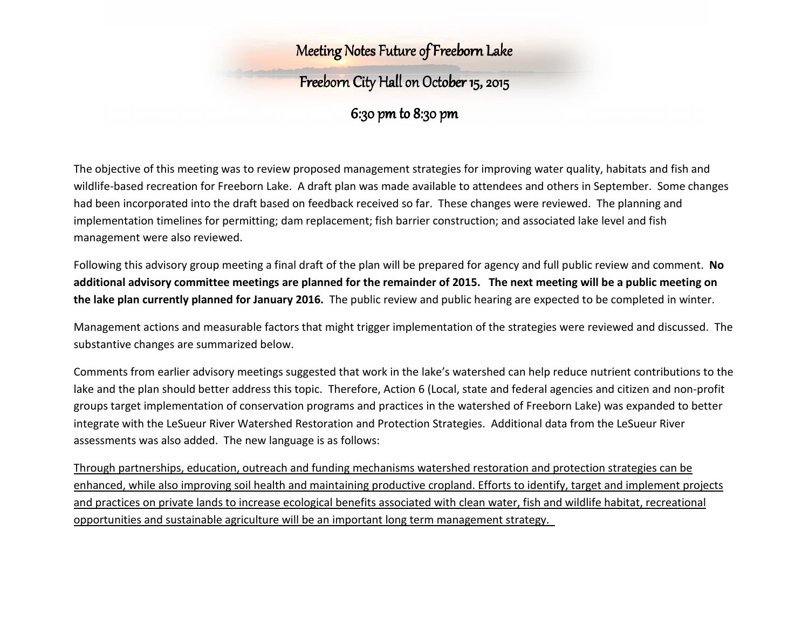#### Meeting Notes Future of Freeborn Lake

## Freeborn City Hall on onOctober 15 October 1515, 2015

6:30 pm to 8:30 pm

The objective of this meeting was to review proposed management strategies for improving water quality, habitats and fish and wildlife-based recreation for Freeborn Lake. A draft plan was made available to attendees and others in September. Some changes had been incorporated into the draft based on feedback received so far. These changes were reviewed. The planning and implementation timelines for permitting; dam replacement; fish barrier construction; and associated lake level and fish management were also reviewed.

Following this advisory group meeting a final draft of the plan will be prepared for agency and full public review and comment. **No additional advisory committee meetings are planned for the remainder of 2015. The next meeting will be a public meeting on the lake plan currently planned for January 2016.** The public review and public hearing are expected to be completed in winter.

Management actions and measurable factors that might trigger implementation of the strategies were reviewed and discussed. The substantive changes are summarized below.

Comments from earlier advisory meetings suggested that work in the lake's watershed can help reduce nutrient contributions to the lake and the plan should better address this topic. Therefore, Action 6 (Local, state and federal agencies and citizen and non-profit groups target implementation of conservation programs and practices in the watershed of Freeborn Lake) was expanded to better integrate with the LeSueur River Watershed Restoration and Protection Strategies. Additional data from the LeSueur River assessments was also added. The new language is as follows:

Through partnerships, education, outreach and funding mechanisms watershed restoration and protection strategies can be enhanced, while also improving soil health and maintaining productive cropland. Efforts to identify, target and implement projects and practices on private lands to increase ecological benefits associated with clean water, fish and wildlife habitat, recreational opportunities and sustainable agriculture will be an important long term management strategy.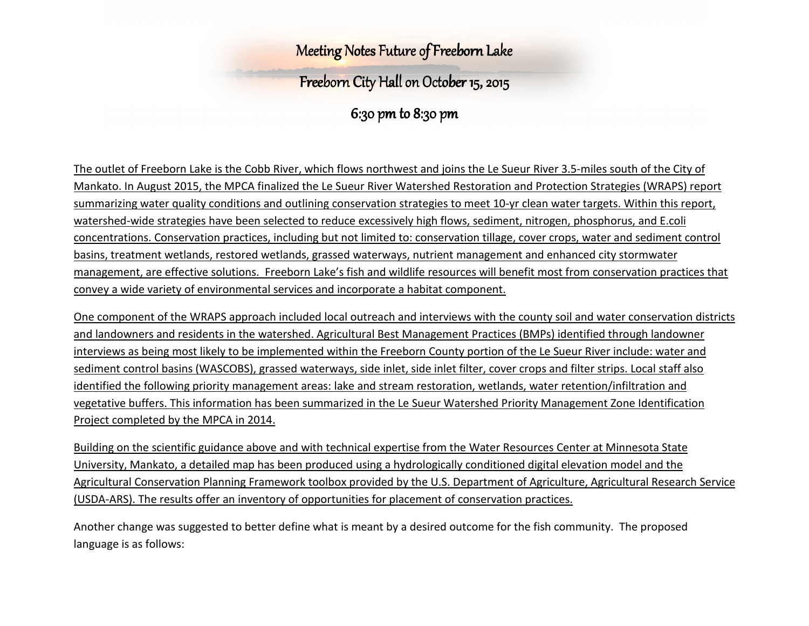#### Meeting Notes Future of Freeborn Lake

## Freeborn City Hall on onOctober 15 October 1515, 2015

6:30 pm to 8:30 pm

The outlet of Freeborn Lake is the Cobb River, which flows northwest and joins the Le Sueur River 3.5-miles south of the City of Mankato. In August 2015, the MPCA finalized the Le Sueur River Watershed Restoration and Protection Strategies (WRAPS) report summarizing water quality conditions and outlining conservation strategies to meet 10-yr clean water targets. Within this report, watershed-wide strategies have been selected to reduce excessively high flows, sediment, nitrogen, phosphorus, and E.coli concentrations. Conservation practices, including but not limited to: conservation tillage, cover crops, water and sediment control basins, treatment wetlands, restored wetlands, grassed waterways, nutrient management and enhanced city stormwater management, are effective solutions. Freeborn Lake's fish and wildlife resources will benefit most from conservation practices that convey a wide variety of environmental services and incorporate a habitat component.

One component of the WRAPS approach included local outreach and interviews with the county soil and water conservation districts and landowners and residents in the watershed. Agricultural Best Management Practices (BMPs) identified through landowner interviews as being most likely to be implemented within the Freeborn County portion of the Le Sueur River include: water and sediment control basins (WASCOBS), grassed waterways, side inlet, side inlet filter, cover crops and filter strips. Local staff also identified the following priority management areas: lake and stream restoration, wetlands, water retention/infiltration and vegetative buffers. This information has been summarized in the Le Sueur Watershed Priority Management Zone Identification Project completed by the MPCA in 2014.

Building on the scientific guidance above and with technical expertise from the Water Resources Center at Minnesota State University, Mankato, a detailed map has been produced using a hydrologically conditioned digital elevation model and the Agricultural Conservation Planning Framework toolbox provided by the U.S. Department of Agriculture, Agricultural Research Service (USDA-ARS). The results offer an inventory of opportunities for placement of conservation practices.

Another change was suggested to better define what is meant by a desired outcome for the fish community. The proposed language is as follows: